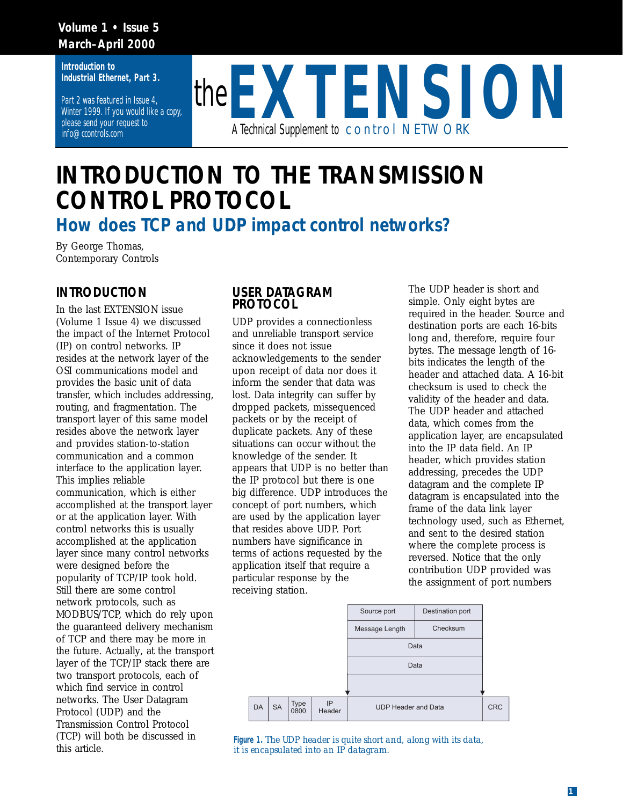#### **Volume 1 • Issue 5 March–April 2000**

**Introduction to Industrial Ethernet, Part 3.** 

Part 2 was featured in Issue 4, Winter 1999. If you would like a copy, please send your request to info@ccontrols.com



## **INTRODUCTION TO THE TRANSMISSION CONTROL PROTOCOL**

*How does TCP and UDP impact control networks?*

By George Thomas, Contemporary Controls

## **INTRODUCTION**

In the last EXTENSION issue (Volume 1 Issue 4) we discussed the impact of the Internet Protocol (IP) on control networks. IP resides at the network layer of the OSI communications model and provides the basic unit of data transfer, which includes addressing, routing, and fragmentation. The transport layer of this same model resides above the network layer and provides station-to-station communication and a common interface to the application layer. This implies reliable communication, which is either accomplished at the transport layer or at the application layer. With control networks this is usually accomplished at the application layer since many control networks were designed before the popularity of TCP/IP took hold. Still there are some control network protocols, such as MODBUS/TCP, which do rely upon the guaranteed delivery mechanism of TCP and there may be more in the future. Actually, at the transport layer of the TCP/IP stack there are two transport protocols, each of which find service in control networks. The User Datagram Protocol (UDP) and the Transmission Control Protocol (TCP) will both be discussed in this article.

#### **USER DATAGRAM PROTOCOL**

UDP provides a connectionless and unreliable transport service since it does not issue acknowledgements to the sender upon receipt of data nor does it inform the sender that data was lost. Data integrity can suffer by dropped packets, missequenced packets or by the receipt of duplicate packets. Any of these situations can occur without the knowledge of the sender. It appears that UDP is no better than the IP protocol but there is one big difference. UDP introduces the concept of port numbers, which are used by the application layer that resides above UDP. Port numbers have significance in terms of actions requested by the application itself that require a particular response by the receiving station.

The UDP header is short and simple. Only eight bytes are required in the header. Source and destination ports are each 16-bits long and, therefore, require four bytes. The message length of 16 bits indicates the length of the header and attached data. A 16-bit checksum is used to check the validity of the header and data. The UDP header and attached data, which comes from the application layer, are encapsulated into the IP data field. An IP header, which provides station addressing, precedes the UDP datagram and the complete IP datagram is encapsulated into the frame of the data link layer technology used, such as Ethernet, and sent to the desired station where the complete process is reversed. Notice that the only contribution UDP provided was the assignment of port numbers



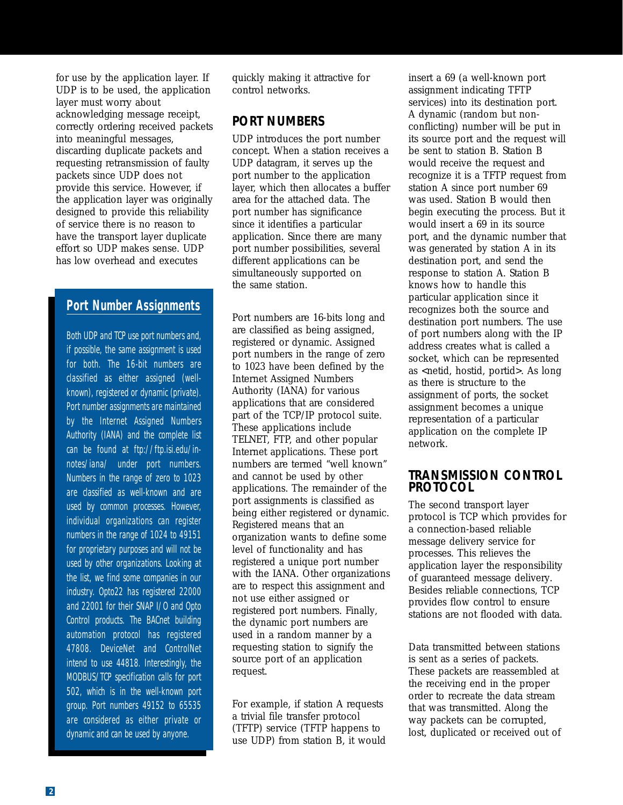for use by the application layer. If UDP is to be used, the application layer must worry about acknowledging message receipt, correctly ordering received packets into meaningful messages, discarding duplicate packets and requesting retransmission of faulty packets since UDP does not provide this service. However, if the application layer was originally designed to provide this reliability of service there is no reason to have the transport layer duplicate effort so UDP makes sense. UDP has low overhead and executes

## **Port Number Assignments**

Both UDP and TCP use port numbers and, if possible, the same assignment is used for both. The 16-bit numbers are classified as either assigned (wellknown), registered or dynamic (private). Port number assignments are maintained by the Internet Assigned Numbers Authority (IANA) and the complete list can be found at ftp://ftp.isi.edu/innotes/iana/ under port numbers. Numbers in the range of zero to 1023 are classified as well-known and are used by common processes. However, individual organizations can register numbers in the range of 1024 to 49151 for proprietary purposes and will not be used by other organizations. Looking at the list, we find some companies in our industry. Opto22 has registered 22000 and 22001 for their SNAP I/O and Opto Control products. The BACnet building automation protocol has registered 47808. DeviceNet and ControlNet intend to use 44818. Interestingly, the MODBUS/TCP specification calls for port 502, which is in the well-known port group. Port numbers 49152 to 65535 are considered as either private or dynamic and can be used by anyone.

quickly making it attractive for control networks.

## **PORT NUMBERS**

UDP introduces the port number concept. When a station receives a UDP datagram, it serves up the port number to the application layer, which then allocates a buffer area for the attached data. The port number has significance since it identifies a particular application. Since there are many port number possibilities, several different applications can be simultaneously supported on the same station.

Port numbers are 16-bits long and are classified as being assigned, registered or dynamic. Assigned port numbers in the range of zero to 1023 have been defined by the Internet Assigned Numbers Authority (IANA) for various applications that are considered part of the TCP/IP protocol suite. These applications include TELNET, FTP, and other popular Internet applications. These port numbers are termed "well known" and cannot be used by other applications. The remainder of the port assignments is classified as being either registered or dynamic. Registered means that an organization wants to define some level of functionality and has registered a unique port number with the IANA. Other organizations are to respect this assignment and not use either assigned or registered port numbers. Finally, the dynamic port numbers are used in a random manner by a requesting station to signify the source port of an application request.

For example, if station A requests a trivial file transfer protocol (TFTP) service (TFTP happens to use UDP) from station B, it would

insert a 69 (a well-known port assignment indicating TFTP services) into its destination port. A dynamic (random but nonconflicting) number will be put in its source port and the request will be sent to station B. Station B would receive the request and recognize it is a TFTP request from station A since port number 69 was used. Station B would then begin executing the process. But it would insert a 69 in its source port, and the dynamic number that was generated by station A in its destination port, and send the response to station A. Station B knows how to handle this particular application since it recognizes both the source and destination port numbers. The use of port numbers along with the IP address creates what is called a socket, which can be represented as <netid, hostid, portid>. As long as there is structure to the assignment of ports, the socket assignment becomes a unique representation of a particular application on the complete IP network.

#### **TRANSMISSION CONTROL PROTOCOL**

The second transport layer protocol is TCP which provides for a connection-based reliable message delivery service for processes. This relieves the application layer the responsibility of guaranteed message delivery. Besides reliable connections, TCP provides flow control to ensure stations are not flooded with data.

Data transmitted between stations is sent as a series of packets. These packets are reassembled at the receiving end in the proper order to recreate the data stream that was transmitted. Along the way packets can be corrupted, lost, duplicated or received out of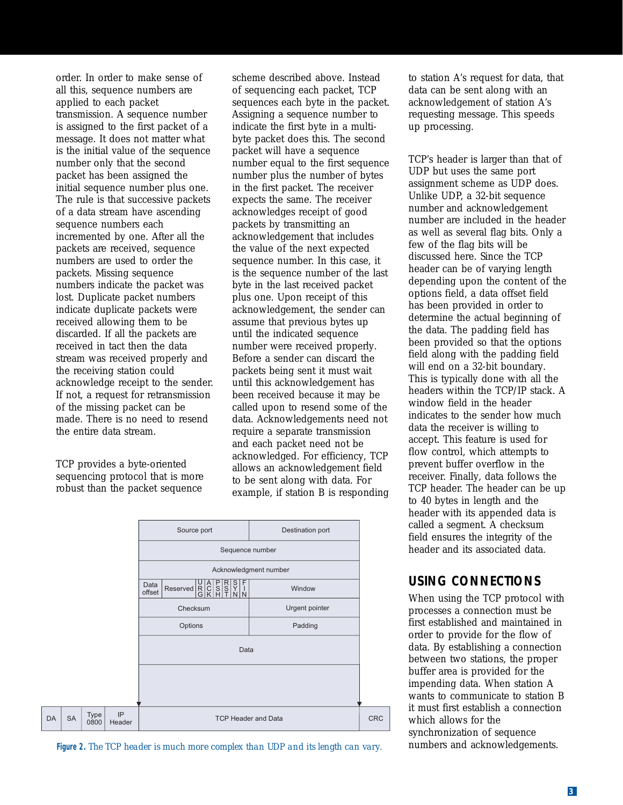order. In order to make sense of all this, sequence numbers are applied to each packet transmission. A sequence number is assigned to the first packet of a message. It does not matter what is the initial value of the sequence number only that the second packet has been assigned the initial sequence number plus one. The rule is that successive packets of a data stream have ascending sequence numbers each incremented by one. After all the packets are received, sequence numbers are used to order the packets. Missing sequence numbers indicate the packet was lost. Duplicate packet numbers indicate duplicate packets were received allowing them to be discarded. If all the packets are received in tact then the data stream was received properly and the receiving station could acknowledge receipt to the sender. If not, a request for retransmission of the missing packet can be made. There is no need to resend the entire data stream.

TCP provides a byte-oriented sequencing protocol that is more robust than the packet sequence

scheme described above. Instead of sequencing each packet, TCP sequences each byte in the packet. Assigning a sequence number to indicate the first byte in a multibyte packet does this. The second packet will have a sequence number equal to the first sequence number plus the number of bytes in the first packet. The receiver expects the same. The receiver acknowledges receipt of good packets by transmitting an acknowledgement that includes the value of the next expected sequence number. In this case, it is the sequence number of the last byte in the last received packet plus one. Upon receipt of this acknowledgement, the sender can assume that previous bytes up until the indicated sequence number were received properly. Before a sender can discard the packets being sent it must wait until this acknowledgement has been received because it may be called upon to resend some of the data. Acknowledgements need not require a separate transmission and each packet need not be acknowledged. For efficiency, TCP allows an acknowledgement field to be sent along with data. For example, if station B is responding



**Figure 2.** *The TCP header is much more complex than UDP and its length can vary.*

to station A's request for data, that data can be sent along with an acknowledgement of station A's requesting message. This speeds up processing.

TCP's header is larger than that of UDP but uses the same port assignment scheme as UDP does. Unlike UDP, a 32-bit sequence number and acknowledgement number are included in the header as well as several flag bits. Only a few of the flag bits will be discussed here. Since the TCP header can be of varying length depending upon the content of the options field, a data offset field has been provided in order to determine the actual beginning of the data. The padding field has been provided so that the options field along with the padding field will end on a 32-bit boundary. This is typically done with all the headers within the TCP/IP stack. A window field in the header indicates to the sender how much data the receiver is willing to accept. This feature is used for flow control, which attempts to prevent buffer overflow in the receiver. Finally, data follows the TCP header. The header can be up to 40 bytes in length and the header with its appended data is called a segment. A checksum field ensures the integrity of the header and its associated data.

## **USING CONNECTIONS**

When using the TCP protocol with processes a connection must be first established and maintained in order to provide for the flow of data. By establishing a connection between two stations, the proper buffer area is provided for the impending data. When station A wants to communicate to station B it must first establish a connection which allows for the synchronization of sequence numbers and acknowledgements.